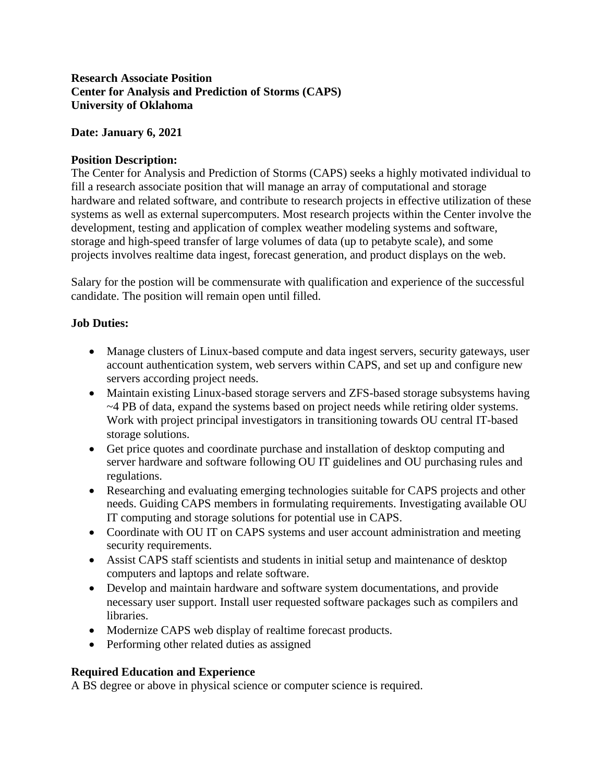### **Research Associate Position Center for Analysis and Prediction of Storms (CAPS) University of Oklahoma**

#### **Date: January 6, 2021**

### **Position Description:**

The Center for Analysis and Prediction of Storms (CAPS) seeks a highly motivated individual to fill a research associate position that will manage an array of computational and storage hardware and related software, and contribute to research projects in effective utilization of these systems as well as external supercomputers. Most research projects within the Center involve the development, testing and application of complex weather modeling systems and software, storage and high-speed transfer of large volumes of data (up to petabyte scale), and some projects involves realtime data ingest, forecast generation, and product displays on the web.

Salary for the postion will be commensurate with qualification and experience of the successful candidate. The position will remain open until filled.

### **Job Duties:**

- Manage clusters of Linux-based compute and data ingest servers, security gateways, user account authentication system, web servers within CAPS, and set up and configure new servers according project needs.
- Maintain existing Linux-based storage servers and ZFS-based storage subsystems having ~4 PB of data, expand the systems based on project needs while retiring older systems. Work with project principal investigators in transitioning towards OU central IT-based storage solutions.
- Get price quotes and coordinate purchase and installation of desktop computing and server hardware and software following OU IT guidelines and OU purchasing rules and regulations.
- Researching and evaluating emerging technologies suitable for CAPS projects and other needs. Guiding CAPS members in formulating requirements. Investigating available OU IT computing and storage solutions for potential use in CAPS.
- Coordinate with OU IT on CAPS systems and user account administration and meeting security requirements.
- Assist CAPS staff scientists and students in initial setup and maintenance of desktop computers and laptops and relate software.
- Develop and maintain hardware and software system documentations, and provide necessary user support. Install user requested software packages such as compilers and libraries.
- Modernize CAPS web display of realtime forecast products.
- Performing other related duties as assigned

#### **Required Education and Experience**

A BS degree or above in physical science or computer science is required.